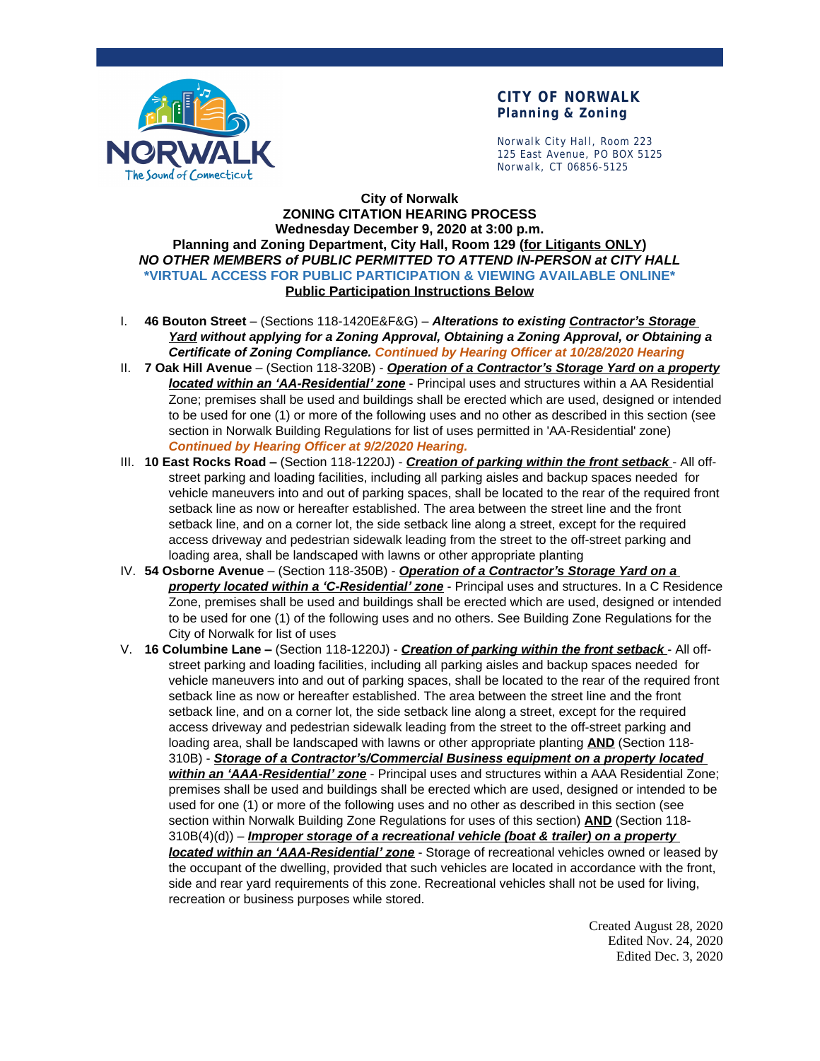

## **CITY OF NORWALK Planning & Zoning**

Norwalk City Hall, Room 223 125 East Avenue, PO BOX 5125 Norwalk, CT 06856-5125

## **City of Norwalk ZONING CITATION HEARING PROCESS Wednesday December 9, 2020 at 3:00 p.m. Planning and Zoning Department, City Hall, Room 129 (for Litigants ONLY)** *NO OTHER MEMBERS of PUBLIC PERMITTED TO ATTEND IN-PERSON at CITY HALL* **\*VIRTUAL ACCESS FOR PUBLIC PARTICIPATION & VIEWING AVAILABLE ONLINE\* Public Participation Instructions Below**

- I. **46 Bouton Street** (Sections 118-1420E&F&G) *Alterations to existing Contractor's Storage Yard without applying for a Zoning Approval, Obtaining a Zoning Approval, or Obtaining a Certificate of Zoning Compliance. Continued by Hearing Officer at 10/28/2020 Hearing*
- II. **7 Oak Hill Avenue** (Section 118-320B) *Operation of a Contractor's Storage Yard on a property located within an 'AA-Residential' zone* - Principal uses and structures within a AA Residential Zone; premises shall be used and buildings shall be erected which are used, designed or intended to be used for one (1) or more of the following uses and no other as described in this section (see section in Norwalk Building Regulations for list of uses permitted in 'AA-Residential' zone) *Continued by Hearing Officer at 9/2/2020 Hearing.*
- III. **10 East Rocks Road –** (Section 118-1220J) *Creation of parking within the front setback* All offstreet parking and loading facilities, including all parking aisles and backup spaces needed for vehicle maneuvers into and out of parking spaces, shall be located to the rear of the required front setback line as now or hereafter established. The area between the street line and the front setback line, and on a corner lot, the side setback line along a street, except for the required access driveway and pedestrian sidewalk leading from the street to the off-street parking and loading area, shall be landscaped with lawns or other appropriate planting
- IV. **54 Osborne Avenue** (Section 118-350B) *Operation of a Contractor's Storage Yard on a property located within a 'C-Residential' zone* - Principal uses and structures. In a C Residence Zone, premises shall be used and buildings shall be erected which are used, designed or intended to be used for one (1) of the following uses and no others. See Building Zone Regulations for the City of Norwalk for list of uses
- V. **16 Columbine Lane –** (Section 118-1220J) *Creation of parking within the front setback* All offstreet parking and loading facilities, including all parking aisles and backup spaces needed for vehicle maneuvers into and out of parking spaces, shall be located to the rear of the required front setback line as now or hereafter established. The area between the street line and the front setback line, and on a corner lot, the side setback line along a street, except for the required access driveway and pedestrian sidewalk leading from the street to the off-street parking and loading area, shall be landscaped with lawns or other appropriate planting **AND** (Section 118- 310B) - *Storage of a Contractor's/Commercial Business equipment on a property located within an 'AAA-Residential' zone* - Principal uses and structures within a AAA Residential Zone; premises shall be used and buildings shall be erected which are used, designed or intended to be used for one (1) or more of the following uses and no other as described in this section (see section within Norwalk Building Zone Regulations for uses of this section) **AND** (Section 118- 310B(4)(d)) – *Improper storage of a recreational vehicle (boat & trailer) on a property located within an 'AAA-Residential' zone* - Storage of recreational vehicles owned or leased by the occupant of the dwelling, provided that such vehicles are located in accordance with the front, side and rear yard requirements of this zone. Recreational vehicles shall not be used for living, recreation or business purposes while stored.

Created August 28, 2020 Edited Nov. 24, 2020 Edited Dec. 3, 2020